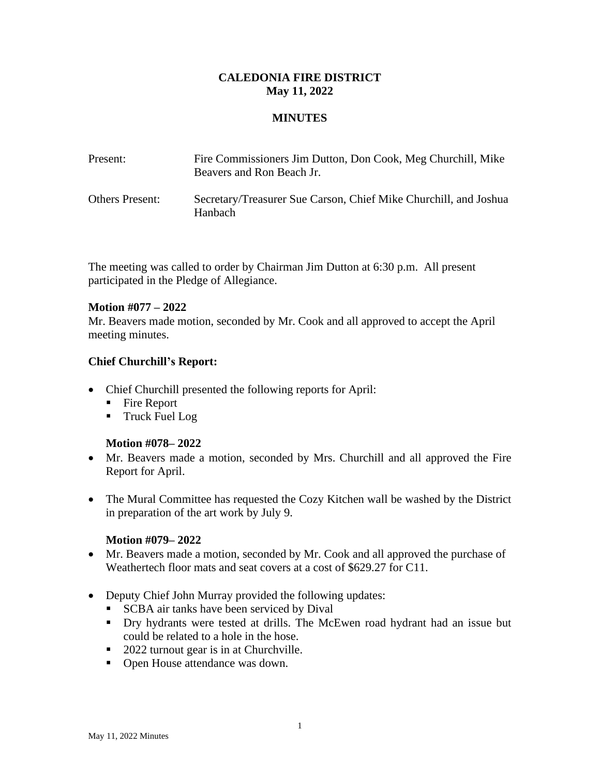### **CALEDONIA FIRE DISTRICT May 11, 2022**

### **MINUTES**

| Present:               | Fire Commissioners Jim Dutton, Don Cook, Meg Churchill, Mike<br>Beavers and Ron Beach Jr. |
|------------------------|-------------------------------------------------------------------------------------------|
| <b>Others Present:</b> | Secretary/Treasurer Sue Carson, Chief Mike Churchill, and Joshua<br>Hanbach               |

The meeting was called to order by Chairman Jim Dutton at 6:30 p.m. All present participated in the Pledge of Allegiance.

### **Motion #077 – 2022**

Mr. Beavers made motion, seconded by Mr. Cook and all approved to accept the April meeting minutes.

### **Chief Churchill's Report:**

- Chief Churchill presented the following reports for April:
	- Fire Report
	- Truck Fuel Log

### **Motion #078– 2022**

- Mr. Beavers made a motion, seconded by Mrs. Churchill and all approved the Fire Report for April.
- The Mural Committee has requested the Cozy Kitchen wall be washed by the District in preparation of the art work by July 9.

### **Motion #079– 2022**

- Mr. Beavers made a motion, seconded by Mr. Cook and all approved the purchase of Weathertech floor mats and seat covers at a cost of \$629.27 for C11.
- Deputy Chief John Murray provided the following updates:
	- **EXCBA** air tanks have been serviced by Dival
	- **•** Dry hydrants were tested at drills. The McEwen road hydrant had an issue but could be related to a hole in the hose.
	- 2022 turnout gear is in at Churchville.
	- Open House attendance was down.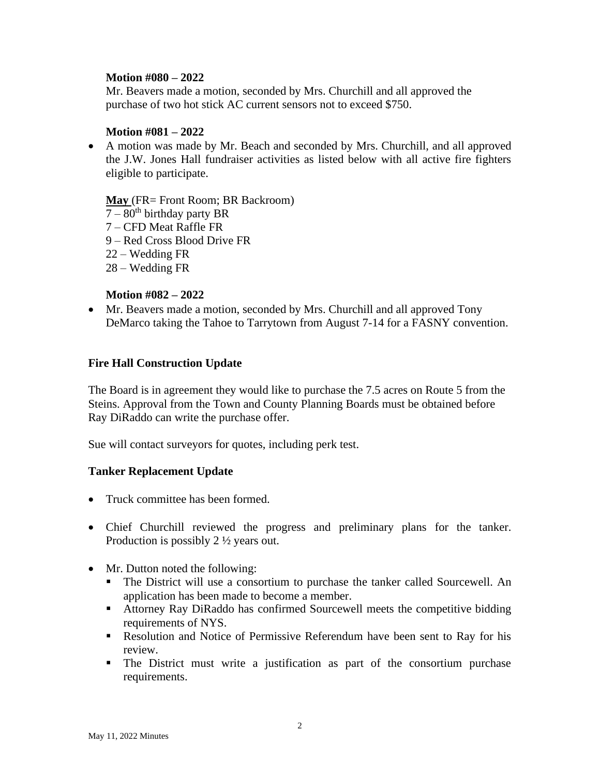### **Motion #080 – 2022**

Mr. Beavers made a motion, seconded by Mrs. Churchill and all approved the purchase of two hot stick AC current sensors not to exceed \$750.

### **Motion #081 – 2022**

• A motion was made by Mr. Beach and seconded by Mrs. Churchill, and all approved the J.W. Jones Hall fundraiser activities as listed below with all active fire fighters eligible to participate.

**May** (FR= Front Room; BR Backroom)

- $7 80<sup>th</sup>$  birthday party BR
- 7 CFD Meat Raffle FR
- 9 Red Cross Blood Drive FR
- 22 Wedding FR
- 28 Wedding FR

# **Motion #082 – 2022**

• Mr. Beavers made a motion, seconded by Mrs. Churchill and all approved Tony DeMarco taking the Tahoe to Tarrytown from August 7-14 for a FASNY convention.

# **Fire Hall Construction Update**

The Board is in agreement they would like to purchase the 7.5 acres on Route 5 from the Steins. Approval from the Town and County Planning Boards must be obtained before Ray DiRaddo can write the purchase offer.

Sue will contact surveyors for quotes, including perk test.

### **Tanker Replacement Update**

- Truck committee has been formed.
- Chief Churchill reviewed the progress and preliminary plans for the tanker. Production is possibly 2 ½ years out.
- Mr. Dutton noted the following:
	- The District will use a consortium to purchase the tanker called Sourcewell. An application has been made to become a member.
	- Attorney Ray DiRaddo has confirmed Sourcewell meets the competitive bidding requirements of NYS.
	- **EXECUTE:** Resolution and Notice of Permissive Referendum have been sent to Ray for his review.
	- The District must write a justification as part of the consortium purchase requirements.